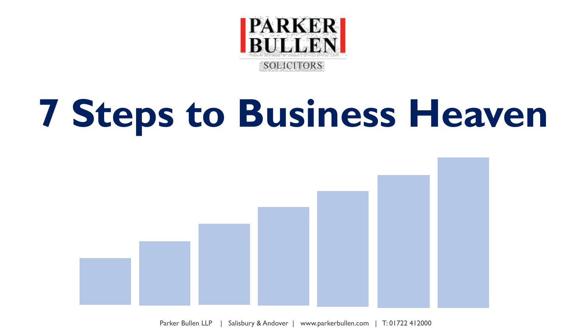

# **7 Steps to Business Heaven**

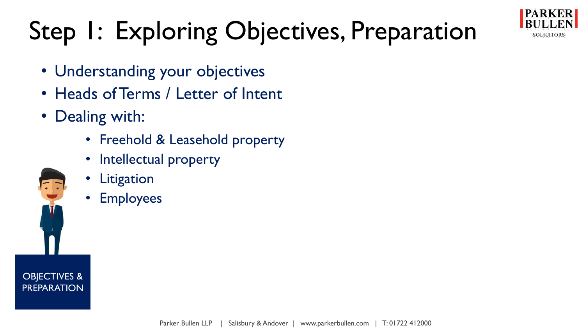

## Step 1: Exploring Objectives, Preparation

- Understanding your objectives
- Heads of Terms / Letter of Intent
- Dealing with:
	- Freehold & Leasehold property
	- Intellectual property
	- Litigation
	- Employees

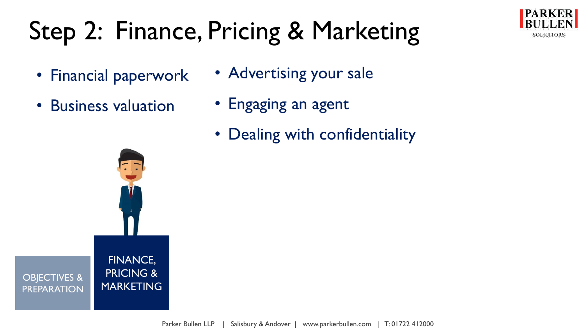### Step 2: Finance, Pricing & Marketing

- Financial paperwork
- Business valuation



- Engaging an agent
- Dealing with confidentiality

**PARKER** 

**SOLICITORS** 

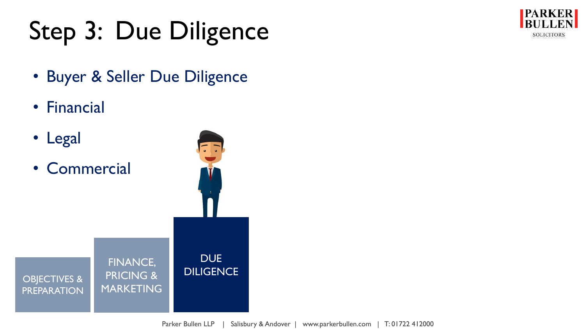### Step 3: Due Diligence



• Buyer & Seller Due Diligence

FINANCE,

PRICING &

**MARKETING** 

- Financial
- Legal

OBJECTIVES & **PREPARATION** 

• Commercial

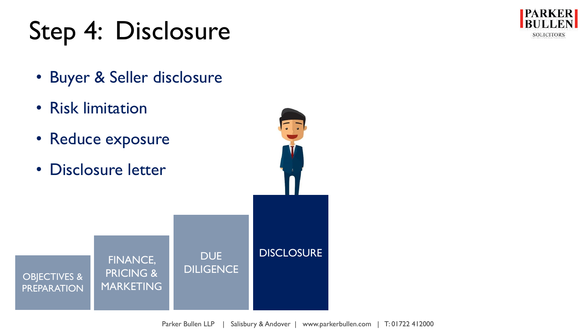#### Step 4: Disclosure

**PARKER BULLEN SOLICITORS** 

- Buyer & Seller disclosure
- Risk limitation
- Reduce exposure
- Disclosure letter

OBJECTIVES & **PREPARATION** FINANCE, PRICING & **MARKETING DUE DILIGENCE DISCLOSURE**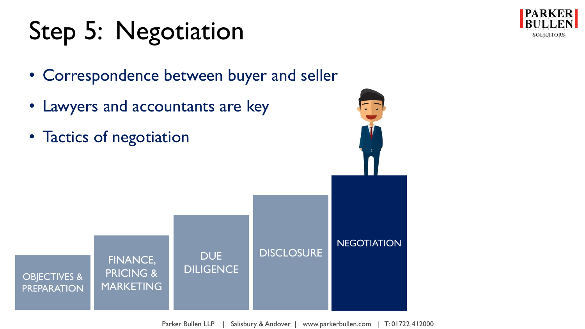### Step 5: Negotiation

• Correspondence between buyer and seller

**DUE** 

**DILIGENCE** 

• Lawyers and accountants are key

FINANCE,

PRICING &

**MARKETING** 

• Tactics of negotiation

OBJECTIVES & PREPARATION





Parker Bullen LLP | Salisbury & Andover | www.parkerbullen.com | T: 01722 412000

**DISCLOSURE**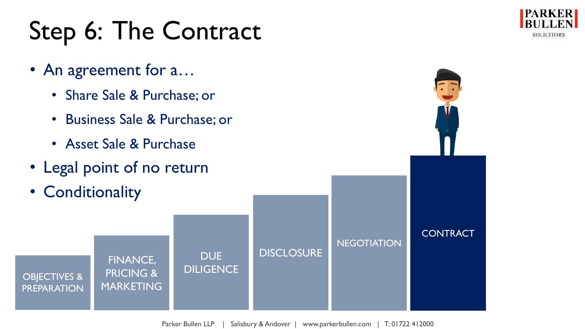#### Step 6: The Contract

- An agreement for a…
	- Share Sale & Purchase; or
	- Business Sale & Purchase; or
	- Asset Sale & Purchase
- Legal point of no return

FINANCE,

**DUE** 

**DILIGENCE** 

PRICING &

**MARKETING** 

• Conditionality

OBJECTIVES & PREPARATION **DISCLOSURE NEGOTIATION CONTRACT** 

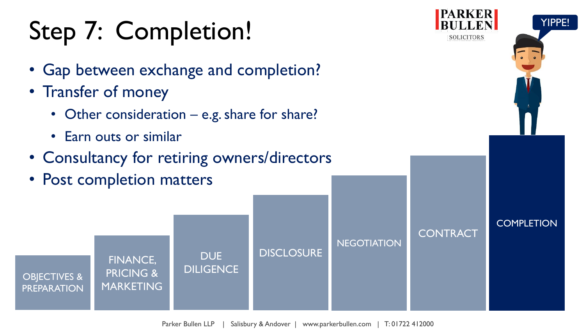#### Step 7: Completion!

- Gap between exchange and completion?
- Transfer of money
	- Other consideration e.g. share for share?
	- Earn outs or similar
- Consultancy for retiring owners/directors
- Post completion matters